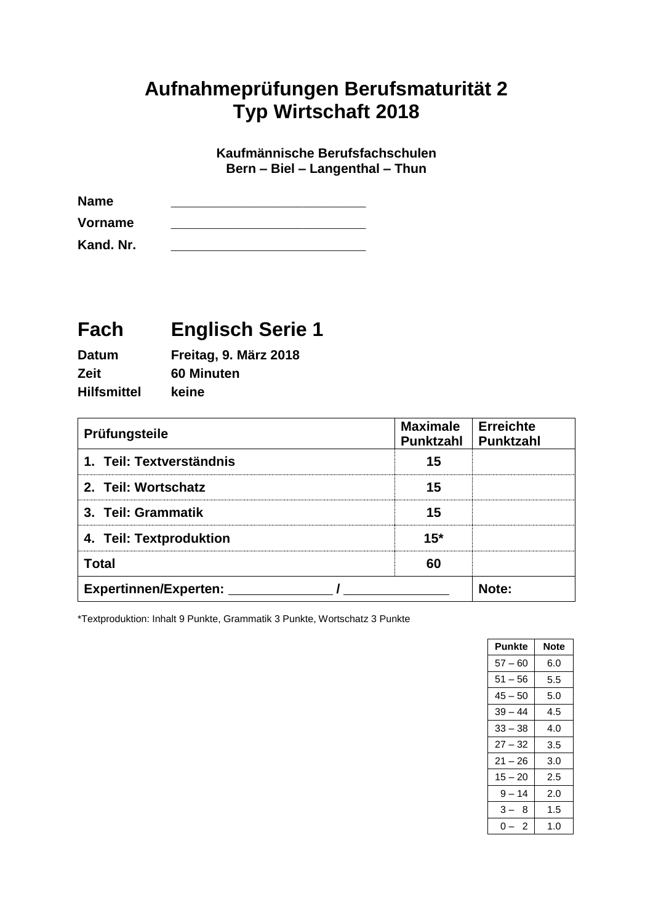## **Aufnahmeprüfungen Berufsmaturität 2 Typ Wirtschaft 2018**

**Kaufmännische Berufsfachschulen Bern – Biel – Langenthal – Thun**

| <b>Name</b> |  |
|-------------|--|
| Vorname     |  |
| Kand. Nr.   |  |

# **Fach Englisch Serie 1**

| <b>Datum</b>       | Freitag, 9. März 2018 |
|--------------------|-----------------------|
| Zeit               | 60 Minuten            |
| <b>Hilfsmittel</b> | keine                 |

| Prüfungsteile                | <b>Maximale</b><br><b>Punktzahl</b> | <b>Erreichte</b><br>Punktzahl |
|------------------------------|-------------------------------------|-------------------------------|
| 1. Teil: Textverständnis     | 15                                  |                               |
| 2. Teil: Wortschatz          | 15                                  |                               |
| 3. Teil: Grammatik           | 15                                  |                               |
| 4. Teil: Textproduktion      | $15*$                               |                               |
| <b>Total</b>                 | 60                                  |                               |
| <b>Expertinnen/Experten:</b> |                                     | Note:                         |

\*Textproduktion: Inhalt 9 Punkte, Grammatik 3 Punkte, Wortschatz 3 Punkte

| Note |
|------|
| 6.0  |
| 5.5  |
| 5.0  |
| 4.5  |
| 4.0  |
| 3.5  |
| 3.0  |
| 2.5  |
| 2.0  |
| 1.5  |
| 1.0  |
|      |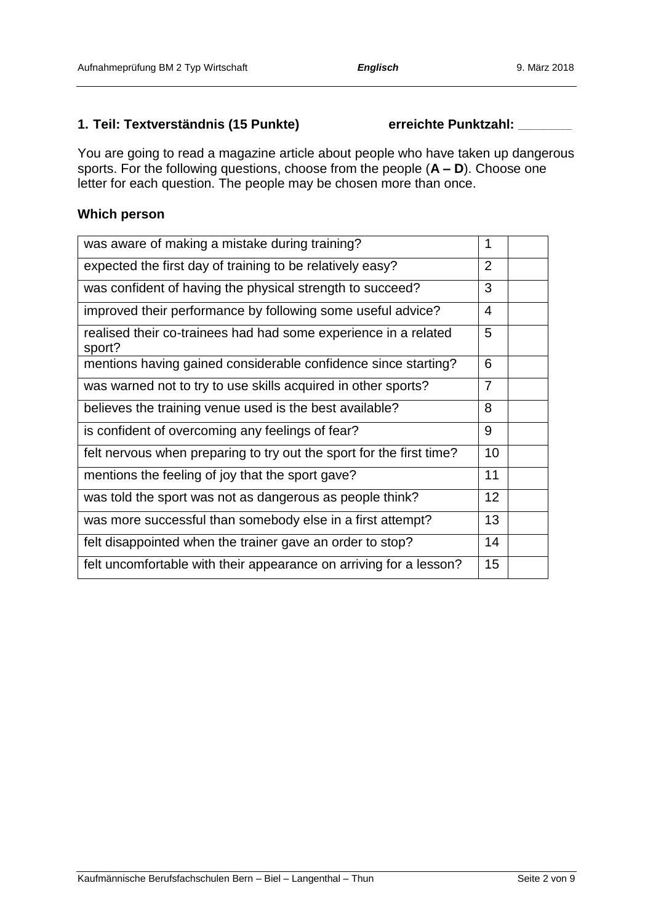### **1. Teil: Textverständnis (15 Punkte) erreichte Punktzahl: \_\_\_\_\_\_\_\_\_\_\_**

You are going to read a magazine article about people who have taken up dangerous sports. For the following questions, choose from the people (**A – D**). Choose one letter for each question. The people may be chosen more than once.

### **Which person**

| was aware of making a mistake during training?                            | 1              |  |
|---------------------------------------------------------------------------|----------------|--|
| expected the first day of training to be relatively easy?                 | $\overline{2}$ |  |
| was confident of having the physical strength to succeed?                 | 3              |  |
| improved their performance by following some useful advice?               | 4              |  |
| realised their co-trainees had had some experience in a related<br>sport? | 5              |  |
| mentions having gained considerable confidence since starting?            | 6              |  |
| was warned not to try to use skills acquired in other sports?             | 7              |  |
| believes the training venue used is the best available?                   | 8              |  |
| is confident of overcoming any feelings of fear?                          | 9              |  |
| felt nervous when preparing to try out the sport for the first time?      | 10             |  |
| mentions the feeling of joy that the sport gave?                          | 11             |  |
| was told the sport was not as dangerous as people think?                  | 12             |  |
| was more successful than somebody else in a first attempt?                | 13             |  |
| felt disappointed when the trainer gave an order to stop?                 | 14             |  |
| felt uncomfortable with their appearance on arriving for a lesson?        | 15             |  |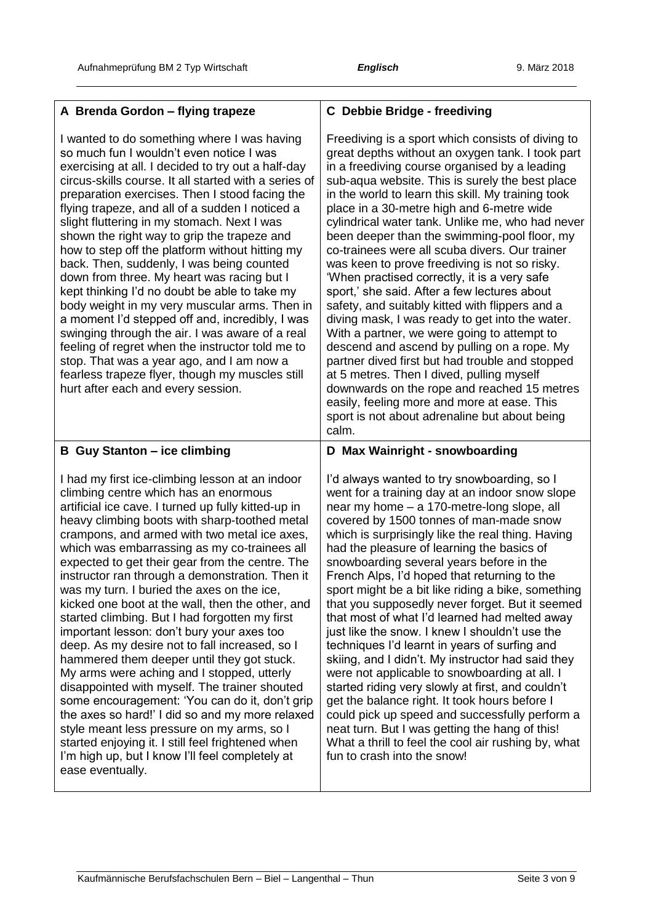| A Brenda Gordon - flying trapeze                                                                                                                                                                                                                                                                                                                                                                                                                                                                                                                                                                                                                                                                                                                                                                                                                                                                                                                          | <b>C</b> Debbie Bridge - freediving                                                                                                                                                                                                                                                                                                                                                                                                                                                                                                                                                                                                                                                                                                                                                                                                                                                                                                                                                                                                                                             |
|-----------------------------------------------------------------------------------------------------------------------------------------------------------------------------------------------------------------------------------------------------------------------------------------------------------------------------------------------------------------------------------------------------------------------------------------------------------------------------------------------------------------------------------------------------------------------------------------------------------------------------------------------------------------------------------------------------------------------------------------------------------------------------------------------------------------------------------------------------------------------------------------------------------------------------------------------------------|---------------------------------------------------------------------------------------------------------------------------------------------------------------------------------------------------------------------------------------------------------------------------------------------------------------------------------------------------------------------------------------------------------------------------------------------------------------------------------------------------------------------------------------------------------------------------------------------------------------------------------------------------------------------------------------------------------------------------------------------------------------------------------------------------------------------------------------------------------------------------------------------------------------------------------------------------------------------------------------------------------------------------------------------------------------------------------|
| I wanted to do something where I was having<br>so much fun I wouldn't even notice I was<br>exercising at all. I decided to try out a half-day<br>circus-skills course. It all started with a series of<br>preparation exercises. Then I stood facing the<br>flying trapeze, and all of a sudden I noticed a<br>slight fluttering in my stomach. Next I was<br>shown the right way to grip the trapeze and<br>how to step off the platform without hitting my<br>back. Then, suddenly, I was being counted<br>down from three. My heart was racing but I<br>kept thinking I'd no doubt be able to take my<br>body weight in my very muscular arms. Then in<br>a moment I'd stepped off and, incredibly, I was<br>swinging through the air. I was aware of a real<br>feeling of regret when the instructor told me to<br>stop. That was a year ago, and I am now a<br>fearless trapeze flyer, though my muscles still<br>hurt after each and every session. | Freediving is a sport which consists of diving to<br>great depths without an oxygen tank. I took part<br>in a freediving course organised by a leading<br>sub-aqua website. This is surely the best place<br>in the world to learn this skill. My training took<br>place in a 30-metre high and 6-metre wide<br>cylindrical water tank. Unlike me, who had never<br>been deeper than the swimming-pool floor, my<br>co-trainees were all scuba divers. Our trainer<br>was keen to prove freediving is not so risky.<br>'When practised correctly, it is a very safe<br>sport,' she said. After a few lectures about<br>safety, and suitably kitted with flippers and a<br>diving mask, I was ready to get into the water.<br>With a partner, we were going to attempt to<br>descend and ascend by pulling on a rope. My<br>partner dived first but had trouble and stopped<br>at 5 metres. Then I dived, pulling myself<br>downwards on the rope and reached 15 metres<br>easily, feeling more and more at ease. This<br>sport is not about adrenaline but about being<br>calm. |
| <b>B</b> Guy Stanton - ice climbing                                                                                                                                                                                                                                                                                                                                                                                                                                                                                                                                                                                                                                                                                                                                                                                                                                                                                                                       | D Max Wainright - snowboarding                                                                                                                                                                                                                                                                                                                                                                                                                                                                                                                                                                                                                                                                                                                                                                                                                                                                                                                                                                                                                                                  |
| I had my first ice-climbing lesson at an indoor<br>climbing centre which has an enormous<br>artificial ice cave. I turned up fully kitted-up in<br>heavy climbing boots with sharp-toothed metal<br>crampons, and armed with two metal ice axes,<br>which was embarrassing as my co-trainees all<br>expected to get their gear from the centre. The<br>instructor ran through a demonstration. Then it<br>was my turn. I buried the axes on the ice.<br>kicked one boot at the wall, then the other, and<br>started climbing. But I had forgotten my first<br>important lesson: don't bury your axes too<br>deep. As my desire not to fall increased, so I<br>hammered them deeper until they got stuck.                                                                                                                                                                                                                                                  | I'd always wanted to try snowboarding, so I<br>went for a training day at an indoor snow slope<br>near my home - a 170-metre-long slope, all<br>covered by 1500 tonnes of man-made snow<br>which is surprisingly like the real thing. Having<br>had the pleasure of learning the basics of<br>snowboarding several years before in the<br>French Alps, I'd hoped that returning to the<br>sport might be a bit like riding a bike, something<br>that you supposedly never forget. But it seemed<br>that most of what I'd learned had melted away<br>just like the snow. I knew I shouldn't use the<br>techniques I'd learnt in years of surfing and                                                                                                                                                                                                                                                                                                                                                                                                                             |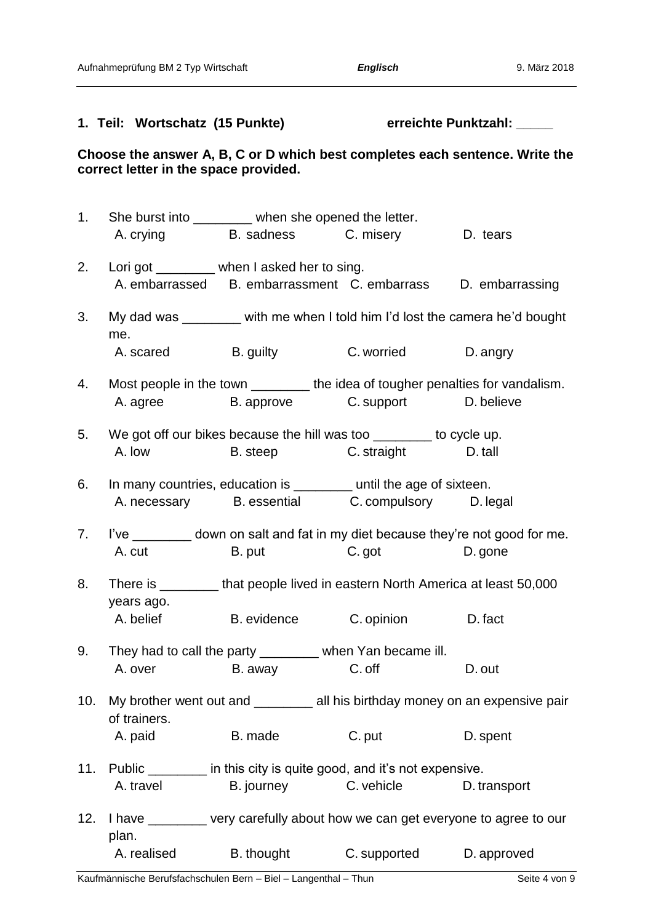### **1. Teil: Wortschatz (15 Punkte) erreichte Punktzahl: \_\_\_\_\_**

### **Choose the answer A, B, C or D which best completes each sentence. Write the correct letter in the space provided.**

|     |              | 1. She burst into ________ when she opened the letter.                            |                       |              |
|-----|--------------|-----------------------------------------------------------------------------------|-----------------------|--------------|
|     |              | A. crying B. sadness C. misery D. tears                                           |                       |              |
|     |              | 2. Lori got _______ when I asked her to sing.                                     |                       |              |
|     |              | A. embarrassed B. embarrassment C. embarrass D. embarrassing                      |                       |              |
| 3.  | me.          | My dad was ________ with me when I told him I'd lost the camera he'd bought       |                       |              |
|     |              | A. scared B. guilty B. Worried                                                    |                       | D. angry     |
| 4.  |              | Most people in the town _________ the idea of tougher penalties for vandalism.    |                       |              |
|     |              | A. agree B. approve C. support D. believe                                         |                       |              |
|     |              | 5. We got off our bikes because the hill was too _______ to cycle up.             |                       |              |
|     |              | A. low B. steep C. straight D. tall                                               |                       |              |
| 6.  |              | In many countries, education is _______ until the age of sixteen.                 |                       |              |
|     |              | A. necessary B. essential C. compulsory D. legal                                  |                       |              |
| 7.  |              | I've _________ down on salt and fat in my diet because they're not good for me.   |                       |              |
|     | A. cut       |                                                                                   | B. put C. got D. gone |              |
| 8.  | years ago.   | There is _________ that people lived in eastern North America at least 50,000     |                       |              |
|     |              | A. belief B. evidence C. opinion                                                  |                       | D. fact      |
| 9.  |              | They had to call the party ________ when Yan became ill.                          |                       |              |
|     |              | A. over B. away C. off                                                            |                       | D. out       |
|     | of trainers. | 10. My brother went out and _________ all his birthday money on an expensive pair |                       |              |
|     | A. paid      | B. made                                                                           | C. put                | D. spent     |
| 11. |              | Public ________ in this city is quite good, and it's not expensive.               |                       |              |
|     | A. travel    | B. journey C. vehicle                                                             |                       | D. transport |
| 12. | plan.        | I have _______ very carefully about how we can get everyone to agree to our       |                       |              |
|     | A. realised  | B. thought                                                                        | C. supported          | D. approved  |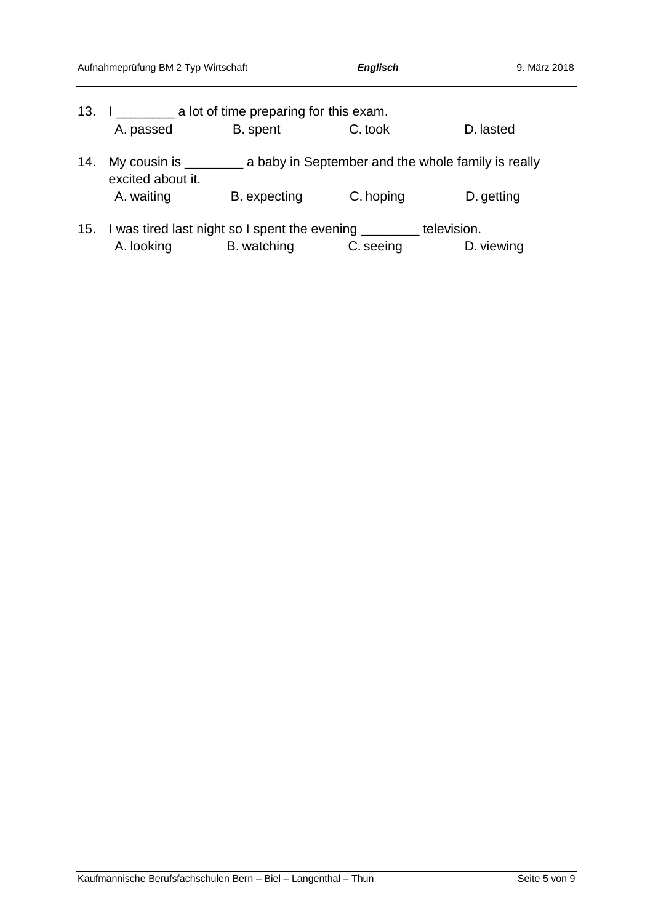|     | Aufnahmeprüfung BM 2 Typ Wirtschaft                                     |                                                                                | <b>Englisch</b> | 9. März 2018 |
|-----|-------------------------------------------------------------------------|--------------------------------------------------------------------------------|-----------------|--------------|
|     | 13. I _____________ a lot of time preparing for this exam.              |                                                                                |                 |              |
|     | A. passed                                                               | B. spent                                                                       | C. took         | D. lasted    |
| 14. | excited about it.                                                       | My cousin is ______________ a baby in September and the whole family is really |                 |              |
|     | A. waiting                                                              | B. expecting                                                                   | C. hoping       | D. getting   |
|     | 15. I was tired last night so I spent the evening _________ television. |                                                                                |                 |              |
|     | A. looking                                                              | B. watching                                                                    | C. seeing       | D. viewing   |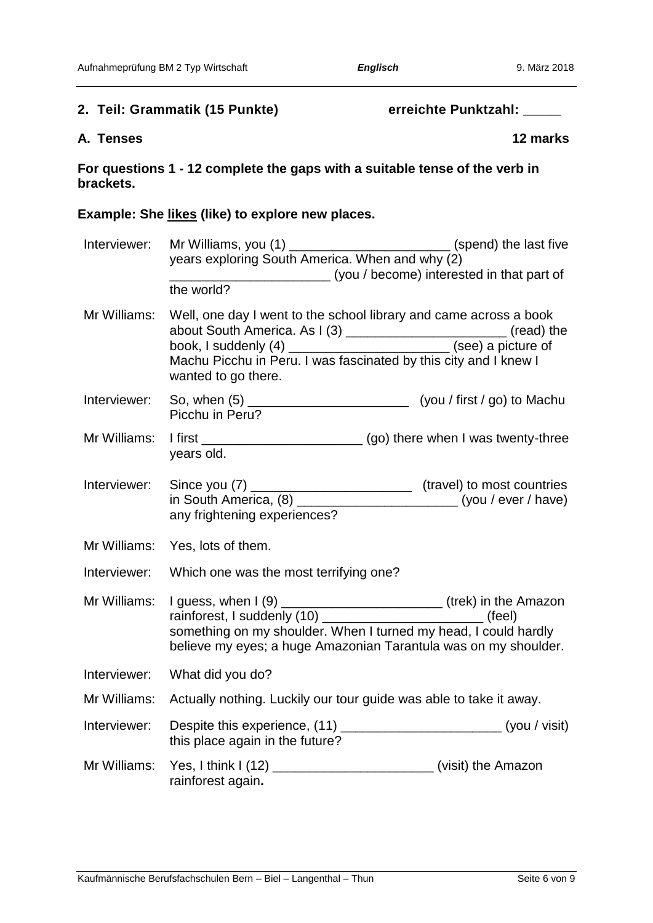### 2. Teil: Grammatik (15 Punkte) erreichte Punktzahl: \_\_\_\_\_

### **A. Tenses 12 marks**

**For questions 1 - 12 complete the gaps with a suitable tense of the verb in brackets.**

### **Example: She likes (like) to explore new places.**

| Interviewer: | Mr Williams, you (1) _________________________________(spend) the last five                                                                                                                                                                                                            |
|--------------|----------------------------------------------------------------------------------------------------------------------------------------------------------------------------------------------------------------------------------------------------------------------------------------|
|              | years exploring South America. When and why (2)                                                                                                                                                                                                                                        |
|              | (you / become) interested in that part of                                                                                                                                                                                                                                              |
|              | the world?                                                                                                                                                                                                                                                                             |
| Mr Williams: | Well, one day I went to the school library and came across a book<br>wanted to go there.                                                                                                                                                                                               |
| Interviewer: | Picchu in Peru?                                                                                                                                                                                                                                                                        |
| Mr Williams: | years old.                                                                                                                                                                                                                                                                             |
|              | Interviewer: Since you (7) _________________________________ (travel) to most countries<br>in South America, (8) ________________________________(you / ever / have)<br>any frightening experiences?                                                                                   |
| Mr Williams: | Yes, lots of them.                                                                                                                                                                                                                                                                     |
| Interviewer: | Which one was the most terrifying one?                                                                                                                                                                                                                                                 |
| Mr Williams: | I guess, when I (9) ________________________________(trek) in the Amazon<br>rainforest, I suddenly (10) _________________________________ (feel)<br>something on my shoulder. When I turned my head, I could hardly<br>believe my eyes; a huge Amazonian Tarantula was on my shoulder. |
| Interviewer: | What did you do?                                                                                                                                                                                                                                                                       |
| Mr Williams: | Actually nothing. Luckily our tour guide was able to take it away.                                                                                                                                                                                                                     |
| Interviewer: | Despite this experience, (11) ______________________________(you / visit)<br>this place again in the future?                                                                                                                                                                           |
| Mr Williams: | Yes, I think I (12) _______________________________(visit) the Amazon<br>rainforest again.                                                                                                                                                                                             |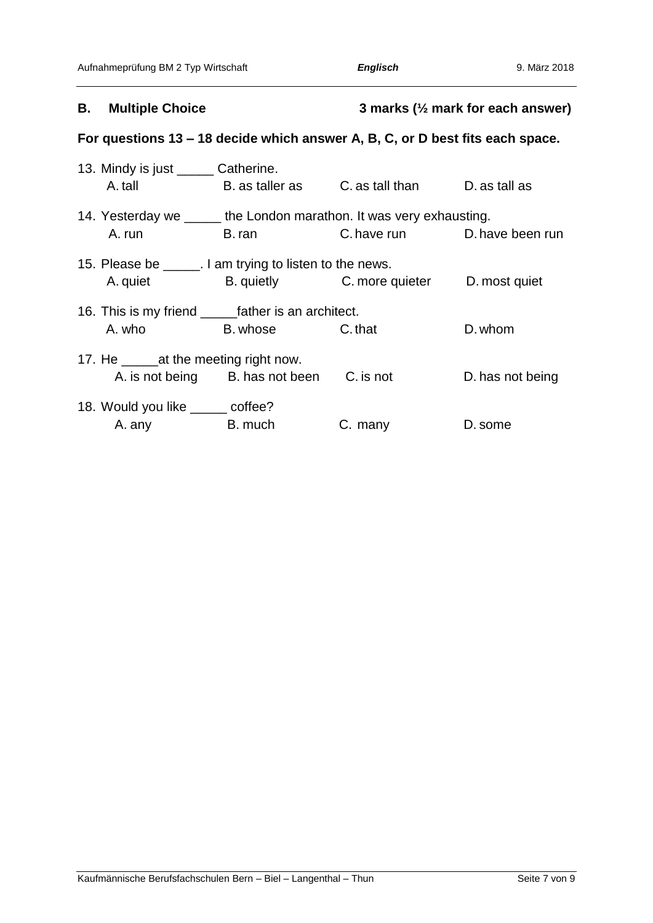### **B. Multiple Choice 3 marks (½ mark for each answer)**

## **For questions 13 – 18 decide which answer A, B, C, or D best fits each space.**

| 13. Mindy is just _______ Catherine.                    |                                                                                                                 |                                                                      |                  |
|---------------------------------------------------------|-----------------------------------------------------------------------------------------------------------------|----------------------------------------------------------------------|------------------|
| A. tall                                                 |                                                                                                                 | B. as taller as          C. as tall than           D. as tall as     |                  |
|                                                         |                                                                                                                 | 14. Yesterday we ______ the London marathon. It was very exhausting. |                  |
| A. run                                                  | B. ran and the state of the state of the state of the state of the state of the state of the state of the state | C. have run D. have been run                                         |                  |
| 15. Please be _____. I am trying to listen to the news. |                                                                                                                 |                                                                      |                  |
| A. quiet                                                |                                                                                                                 | B. quietly C. more quieter D. most quiet                             |                  |
|                                                         |                                                                                                                 |                                                                      |                  |
|                                                         | A. who B. whose C. that                                                                                         |                                                                      | D. whom          |
| 17. He _edia the meeting right now.                     |                                                                                                                 |                                                                      |                  |
|                                                         | A. is not being B. has not been C. is not                                                                       |                                                                      | D. has not being |
| 18. Would you like ______ coffee?                       |                                                                                                                 |                                                                      |                  |
| A. any                                                  | <b>Example 1</b> B. much                                                                                        | C. many                                                              | D. some          |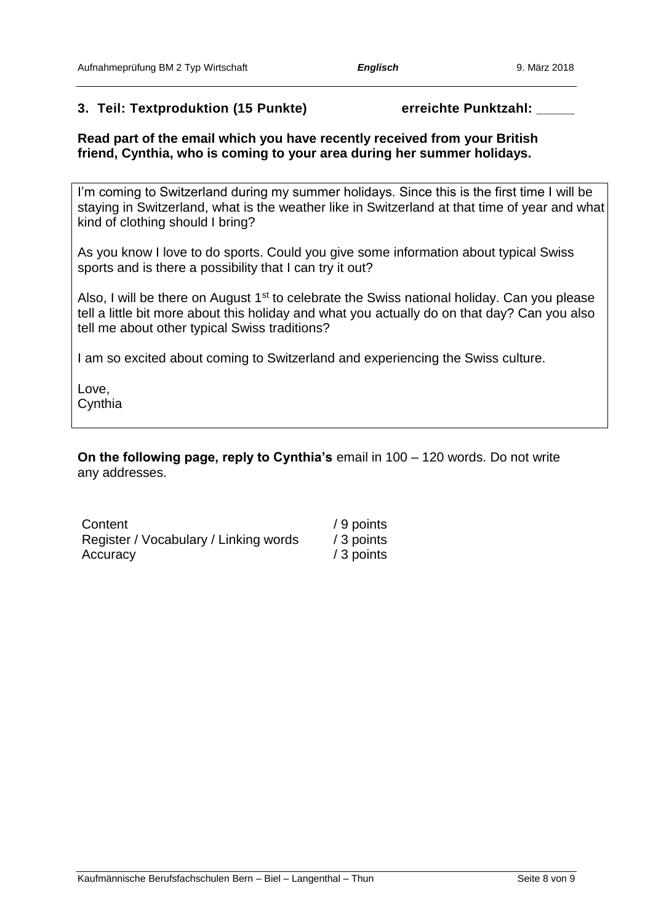### **3. Teil: Textproduktion (15 Punkte) erreichte Punktzahl: \_\_\_\_\_**

**Read part of the email which you have recently received from your British friend, Cynthia, who is coming to your area during her summer holidays.** 

I'm coming to Switzerland during my summer holidays. Since this is the first time I will be staying in Switzerland, what is the weather like in Switzerland at that time of year and what kind of clothing should I bring?

As you know I love to do sports. Could you give some information about typical Swiss sports and is there a possibility that I can try it out?

Also, I will be there on August  $1<sup>st</sup>$  to celebrate the Swiss national holiday. Can you please tell a little bit more about this holiday and what you actually do on that day? Can you also tell me about other typical Swiss traditions?

I am so excited about coming to Switzerland and experiencing the Swiss culture.

Love, **Cynthia** 

**On the following page, reply to Cynthia's** email in 100 – 120 words. Do not write any addresses.

| Content                               | / 9 points |
|---------------------------------------|------------|
| Register / Vocabulary / Linking words | / 3 points |
| Accuracy                              | / 3 points |